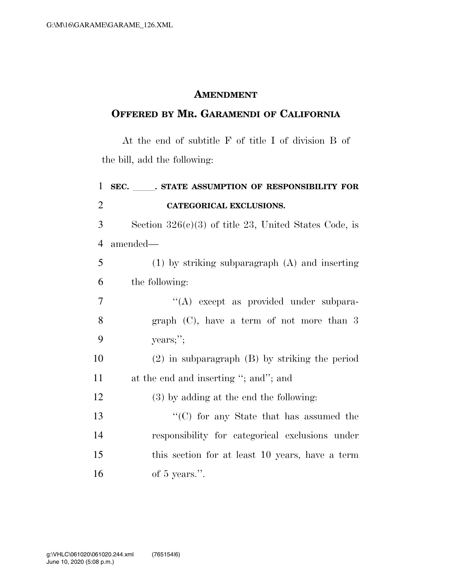## **AMENDMENT**

## **OFFERED BY MR. GARAMENDI OF CALIFORNIA**

At the end of subtitle F of title I of division B of the bill, add the following:

| $\mathbf{1}$   | SEC. STATE ASSUMPTION OF RESPONSIBILITY FOR             |
|----------------|---------------------------------------------------------|
| $\overline{2}$ | <b>CATEGORICAL EXCLUSIONS.</b>                          |
| 3              | Section $326(c)(3)$ of title 23, United States Code, is |
| $\overline{4}$ | amended—                                                |
| 5              | $(1)$ by striking subparagraph $(A)$ and inserting      |
| 6              | the following:                                          |
| $\tau$         | "(A) except as provided under subpara-                  |
| 8              | graph $(C)$ , have a term of not more than 3            |
| 9              | years;";                                                |
| 10             | $(2)$ in subparagraph $(B)$ by striking the period      |
| 11             | at the end and inserting "; and"; and                   |
| 12             | $(3)$ by adding at the end the following:               |
| 13             | "(C) for any State that has assumed the                 |
| 14             | responsibility for categorical exclusions under         |
| 15             | this section for at least 10 years, have a term         |
| 16             | of 5 years.".                                           |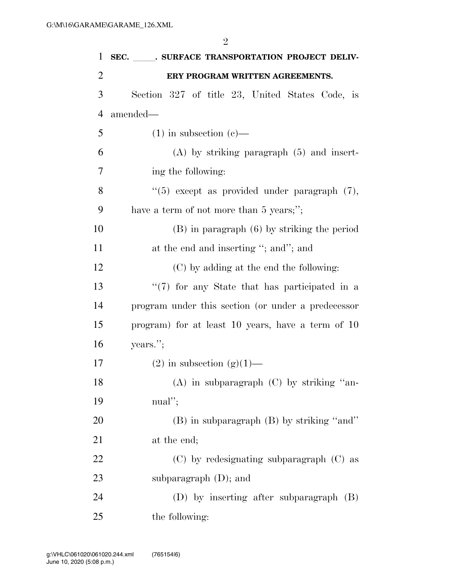2

| $\mathbf{1}$   | SEC. SURFACE TRANSPORTATION PROJECT DELIV-          |
|----------------|-----------------------------------------------------|
| $\overline{2}$ | ERY PROGRAM WRITTEN AGREEMENTS.                     |
| 3              | Section 327 of title 23, United States Code, is     |
| $\overline{4}$ | amended—                                            |
| 5              | $(1)$ in subsection $(e)$ —                         |
| 6              | $(A)$ by striking paragraph $(5)$ and insert-       |
| 7              | ing the following:                                  |
| 8              | $\lq(5)$ except as provided under paragraph $(7)$ , |
| 9              | have a term of not more than 5 years;";             |
| 10             | $(B)$ in paragraph $(6)$ by striking the period     |
| 11             | at the end and inserting "; and"; and               |
| 12             | (C) by adding at the end the following:             |
| 13             | "(7) for any State that has participated in a       |
| 14             | program under this section (or under a predecessor  |
| 15             | program) for at least 10 years, have a term of 10   |
| 16             | years.";                                            |
| 17             | $(2)$ in subsection $(g)(1)$ —                      |
| 18             | (A) in subparagraph (C) by striking "an-            |
| 19             | $\text{m}\text{a}$ !";                              |
| 20             | (B) in subparagraph (B) by striking "and"           |
| 21             | at the end;                                         |
| 22             | $(C)$ by redesignating subparagraph $(C)$ as        |
| 23             | subparagraph $(D)$ ; and                            |
| 24             | (D) by inserting after subparagraph (B)             |
| 25             | the following:                                      |